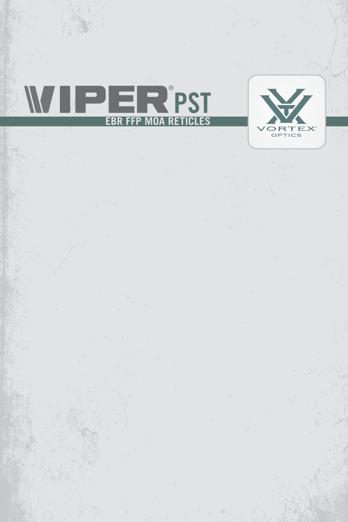

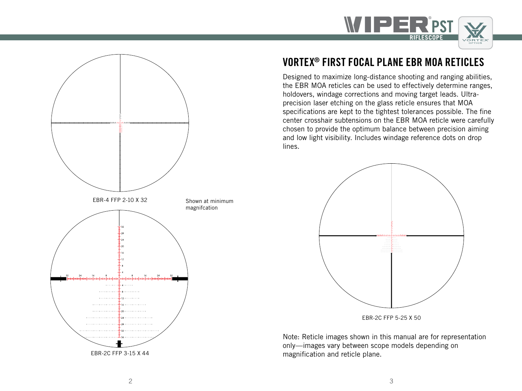



# VORTEX® FIRST FOCAL PLANE EBR MOA RETICLES

Designed to maximize long-distance shooting and ranging abilities, the EBR MOA reticles can be used to effectively determine ranges, holdovers, windage corrections and moving target leads. Ultraprecision laser etching on the glass reticle ensures that MOA specifications are kept to the tightest tolerances possible. The fine center crosshair subtensions on the EBR MOA reticle were carefully chosen to provide the optimum balance between precision aiming and low light visibility. Includes windage reference dots on drop lines.



EBR-2C FFP 5-25 X 50

Note: Reticle images shown in this manual are for representation only—images vary between scope models depending on magnification and reticle plane.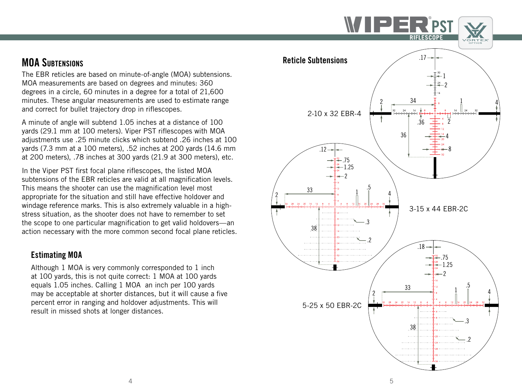

The EBR reticles are based on minute-of-angle (MOA) subtensions. MOA measurements are based on degrees and minutes: 360 degrees in a circle, 60 minutes in a degree for a total of 21,600 minutes. These angular measurements are used to estimate range and correct for bullet trajectory drop in riflescopes.

A minute of angle will subtend 1.05 inches at a distance of 100 yards (29.1 mm at 100 meters). Viper PST riflescopes with MOA adjustments use .25 minute clicks which subtend .26 inches at 100 yards (7.3 mm at a 100 meters), .52 inches at 200 yards (14.6 mm at 200 meters), .78 inches at 300 yards (21.9 at 300 meters), etc.

In the Viper PST first focal plane riflescopes, the listed MOA subtensions of the EBR reticles are valid at all magnification levels. This means the shooter can use the magnification level most appropriate for the situation and still have effective holdover and windage reference marks. This is also extremely valuable in a highstress situation, as the shooter does not have to remember to set the scope to one particular magnification to get valid holdovers—an action necessary with the more common second focal plane reticles.

#### Estimating MOA

Although 1 MOA is very commonly corresponded to 1 inch at 100 yards, this is not quite correct: 1 MOA at 100 yards equals 1.05 inches. Calling 1 MOA an inch per 100 yards may be acceptable at shorter distances, but it will cause a five percent error in ranging and holdover adjustments. This will result in missed shots at longer distances.

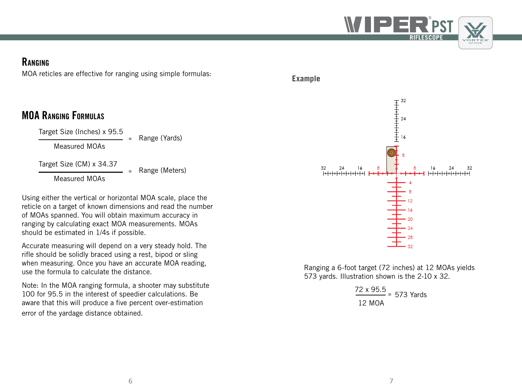

#### **RANGING**

MOA reticles are effective for ranging using simple formulas:

# MOA Ranging Formulas

Target Size (Inches) x 95.5

Measured MOAs

Target Size (CM) x 34.37

**<sup>=</sup>** Range (Meters)

**<sup>=</sup>** Range (Yards)

Measured MOAs

Using either the vertical or horizontal MOA scale, place the reticle on a target of known dimensions and read the number of MOAs spanned. You will obtain maximum accuracy in ranging by calculating exact MOA measurements. MOAs should be estimated in 1/4s if possible.

Accurate measuring will depend on a very steady hold. The rifle should be solidly braced using a rest, bipod or sling when measuring. Once you have an accurate MOA reading, use the formula to calculate the distance.

Note: In the MOA ranging formula, a shooter may substitute 100 for 95.5 in the interest of speedier calculations. Be aware that this will produce a five percent over-estimation error of the yardage distance obtained.



Ranging a 6-foot target (72 inches) at 12 MOAs yields 573 yards. Illustration shown is the 2-10 x 32.

> 72 x 95.5 **<sup>=</sup>** 573 Yards 12 MOA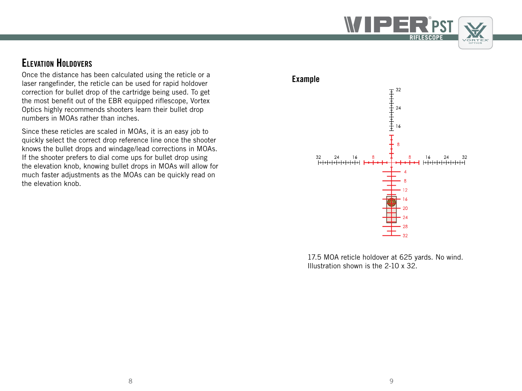

### Elevation Holdovers

Once the distance has been calculated using the reticle or a laser rangefinder, the reticle can be used for rapid holdover correction for bullet drop of the cartridge being used. To get the most benefit out of the EBR equipped riflescope, Vortex Optics highly recommends shooters learn their bullet drop numbers in MOAs rather than inches.

Since these reticles are scaled in MOAs, it is an easy job to quickly select the correct drop reference line once the shooter knows the bullet drops and windage/lead corrections in MOAs. If the shooter prefers to dial come ups for bullet drop using the elevation knob, knowing bullet drops in MOAs will allow for much faster adjustments as the MOAs can be quickly read on the elevation knob.

# Example  $\frac{1}{1}$ <br>32<br>24<br>24<br>15<br> $\frac{1}{1}$ <br>16  $24\,$ 32  $24$ 16 16 32

17.5 MOA reticle holdover at 625 yards. No wind. Illustration shown is the 2-10 x 32.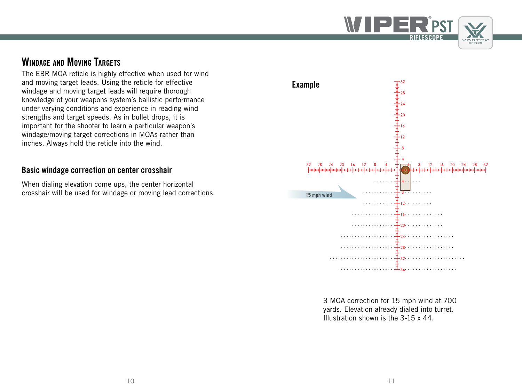

## WINDAGE AND MOVING TARGETS

The EBR MOA reticle is highly effective when used for wind and moving target leads. Using the reticle for effective windage and moving target leads will require thorough knowledge of your weapons system's ballistic performance under varying conditions and experience in reading wind strengths and target speeds. As in bullet drops, it is important for the shooter to learn a particular weapon's windage/moving target corrections in MOAs rather than inches. Always hold the reticle into the wind.

#### Basic windage correction on center crosshair

When dialing elevation come ups, the center horizontal crosshair will be used for windage or moving lead corrections.



3 MOA correction for 15 mph wind at 700 yards. Elevation already dialed into turret. Illustration shown is the 3-15 x 44.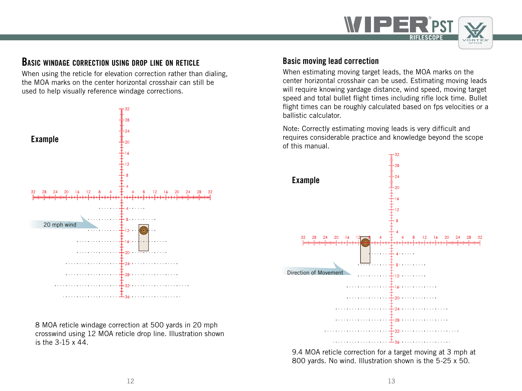

#### Basic windage correction using drop line on reticle

When using the reticle for elevation correction rather than dialing, the MOA marks on the center horizontal crosshair can still be used to help visually reference windage corrections.



8 MOA reticle windage correction at 500 yards in 20 mph crosswind using 12 MOA reticle drop line. Illustration shown is the 3-15 x 44.

#### Basic moving lead correction

When estimating moving target leads, the MOA marks on the center horizontal crosshair can be used. Estimating moving leads will require knowing yardage distance, wind speed, moving target speed and total bullet flight times including rifle lock time. Bullet flight times can be roughly calculated based on fps velocities or a ballistic calculator.

Note: Correctly estimating moving leads is very difficult and requires considerable practice and knowledge beyond the scope of this manual.



9.4 MOA reticle correction for a target moving at 3 mph at 800 yards. No wind. Illustration shown is the 5-25 x 50.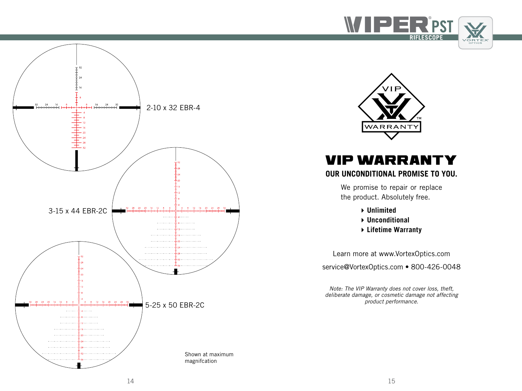





## VIP WARRANTY **OUR UNCONDITIONAL PROMISE TO YOU.**

We promise to repair or replace the product. Absolutely free.

- **Unlimited**
- **Unconditional**
- **Lifetime Warranty**

Learn more at www.VortexOptics.com

service@VortexOptics.com • 800-426-0048

*Note: The VIP Warranty does not cover loss, theft, deliberate damage, or cosmetic damage not affecting product performance.*